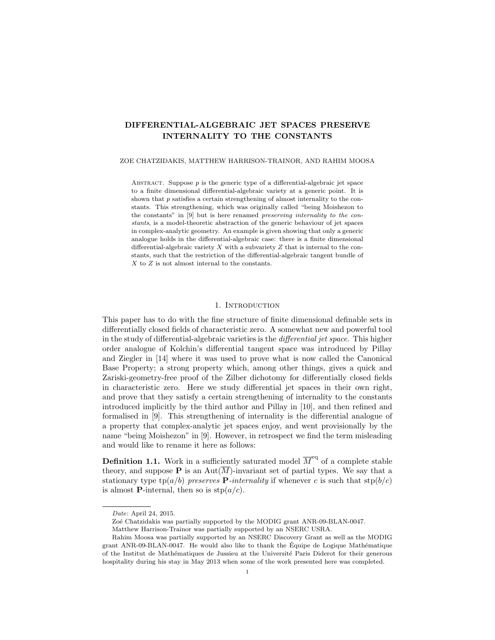# DIFFERENTIAL-ALGEBRAIC JET SPACES PRESERVE INTERNALITY TO THE CONSTANTS

#### ZOE CHATZIDAKIS, MATTHEW HARRISON-TRAINOR, AND RAHIM MOOSA

ABSTRACT. Suppose  $p$  is the generic type of a differential-algebraic jet space to a finite dimensional differential-algebraic variety at a generic point. It is shown that  $p$  satisfies a certain strengthening of almost internality to the constants. This strengthening, which was originally called "being Moishezon to the constants" in [9] but is here renamed preserving internality to the constants, is a model-theoretic abstraction of the generic behaviour of jet spaces in complex-analytic geometry. An example is given showing that only a generic analogue holds in the differential-algebraic case: there is a finite dimensional differential-algebraic variety  $X$  with a subvariety  $Z$  that is internal to the constants, such that the restriction of the differential-algebraic tangent bundle of  $X$  to  $Z$  is not almost internal to the constants.

## 1. INTRODUCTION

This paper has to do with the fine structure of finite dimensional definable sets in differentially closed fields of characteristic zero. A somewhat new and powerful tool in the study of differential-algebraic varieties is the differential jet space. This higher order analogue of Kolchin's differential tangent space was introduced by Pillay and Ziegler in [14] where it was used to prove what is now called the Canonical Base Property; a strong property which, among other things, gives a quick and Zariski-geometry-free proof of the Zilber dichotomy for differentially closed fields in characteristic zero. Here we study differential jet spaces in their own right, and prove that they satisfy a certain strengthening of internality to the constants introduced implicitly by the third author and Pillay in [10], and then refined and formalised in [9]. This strengthening of internality is the differential analogue of a property that complex-analytic jet spaces enjoy, and went provisionally by the name "being Moishezon" in [9]. However, in retrospect we find the term misleading and would like to rename it here as follows:

**Definition 1.1.** Work in a sufficiently saturated model  $\overline{M}^{\text{eq}}$  of a complete stable theory, and suppose **P** is an Aut $(\overline{M})$ -invariant set of partial types. We say that a stationary type  $tp(a/b)$  preserves **P**-internality if whenever c is such that  $stp(b/c)$ is almost **P**-internal, then so is  $\text{stp}(a/c)$ .

Date: April 24, 2015.

Zoé Chatzidakis was partially supported by the MODIG grant ANR-09-BLAN-0047.

Matthew Harrison-Trainor was partially supported by an NSERC USRA.

Rahim Moosa was partially supported by an NSERC Discovery Grant as well as the MODIG grant ANR-09-BLAN-0047. He would also like to thank the Équipe de Logique Mathématique of the Institut de Mathématiques de Jussieu at the Université Paris Diderot for their generous hospitality during his stay in May 2013 when some of the work presented here was completed.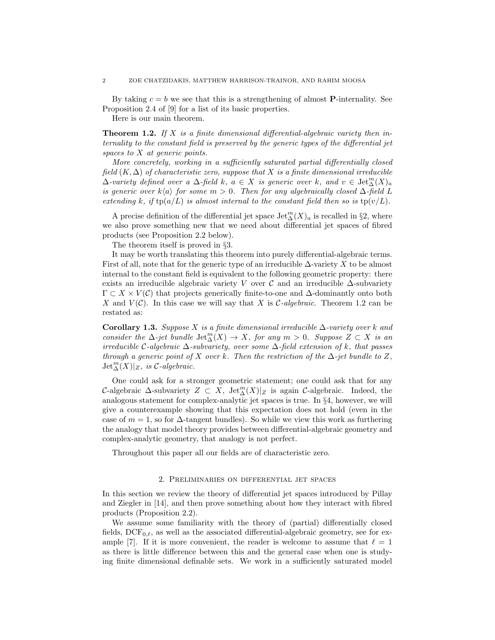By taking  $c = b$  we see that this is a strengthening of almost **P**-internality. See Proposition 2.4 of [9] for a list of its basic properties.

Here is our main theorem.

**Theorem 1.2.** If X is a finite dimensional differential-algebraic variety then internality to the constant field is preserved by the generic types of the differential jet spaces to X at generic points.

More concretely, working in a sufficiently saturated partial differentially closed field  $(K, \Delta)$  of characteristic zero, suppose that X is a finite dimensional irreducible  $\Delta$ -variety defined over a  $\Delta$ -field k,  $a \in X$  is generic over k, and  $v \in \text{Jet}_{\Delta}^m(X)_a$ is generic over k $\langle a \rangle$  for some m > 0. Then for any algebraically closed  $\Delta$ -field L extending k, if  $tp(a/L)$  is almost internal to the constant field then so is  $tp(v/L)$ .

A precise definition of the differential jet space  $\mathrm{Jet}_{\Delta}^m(X)_a$  is recalled in §2, where we also prove something new that we need about differential jet spaces of fibred products (see Proposition 2.2 below).

The theorem itself is proved in §3.

It may be worth translating this theorem into purely differential-algebraic terms. First of all, note that for the generic type of an irreducible  $\Delta$ -variety X to be almost internal to the constant field is equivalent to the following geometric property: there exists an irreducible algebraic variety V over  $\mathcal C$  and an irreducible  $\Delta$ -subvariety  $\Gamma \subset X \times V(\mathcal{C})$  that projects generically finite-to-one and  $\Delta$ -dominantly onto both X and  $V(\mathcal{C})$ . In this case we will say that X is  $\mathcal{C}\text{-}algebraic$ . Theorem 1.2 can be restated as:

Corollary 1.3. Suppose X is a finite dimensional irreducible  $\Delta$ -variety over k and consider the  $\Delta$ -jet bundle  $\mathrm{Jet}_{\Delta}^{m}(X) \to X$ , for any  $m > 0$ . Suppose  $Z \subset X$  is an irreducible C-algebraic  $\Delta$ -subvariety, over some  $\Delta$ -field extension of k, that passes through a generic point of X over k. Then the restriction of the  $\Delta$ -jet bundle to Z,  $\mathrm{Jet}^m_\Delta(X)|_Z, \textit{ is C-algebraic}.$ 

One could ask for a stronger geometric statement; one could ask that for any C-algebraic  $\Delta$ -subvariety  $Z \subset X$ , Jet $_{\Delta}^{m}(X)|_{Z}$  is again C-algebraic. Indeed, the analogous statement for complex-analytic jet spaces is true. In §4, however, we will give a counterexample showing that this expectation does not hold (even in the case of  $m = 1$ , so for  $\Delta$ -tangent bundles). So while we view this work as furthering the analogy that model theory provides between differential-algebraic geometry and complex-analytic geometry, that analogy is not perfect.

Throughout this paper all our fields are of characteristic zero.

#### 2. Preliminaries on differential jet spaces

In this section we review the theory of differential jet spaces introduced by Pillay and Ziegler in [14], and then prove something about how they interact with fibred products (Proposition 2.2).

We assume some familiarity with the theory of (partial) differentially closed fields,  $DCF_{0,\ell}$ , as well as the associated differential-algebraic geometry, see for example [7]. If it is more convenient, the reader is welcome to assume that  $\ell = 1$ as there is little difference between this and the general case when one is studying finite dimensional definable sets. We work in a sufficiently saturated model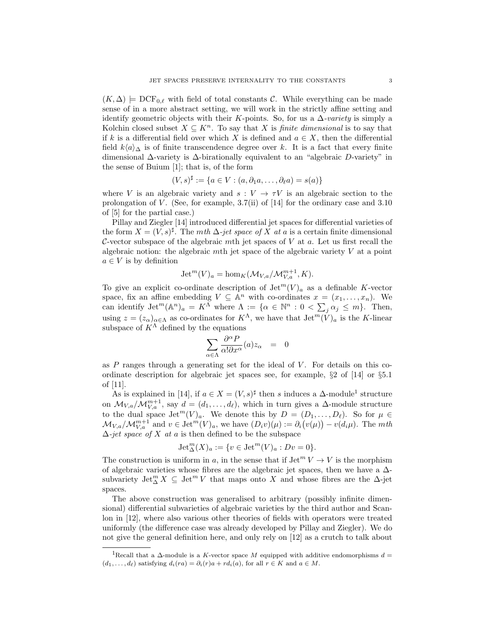$(K, \Delta)$   $\models$  DCF<sub>0. $\ell$ </sub> with field of total constants C. While everything can be made sense of in a more abstract setting, we will work in the strictly affine setting and identify geometric objects with their K-points. So, for us a  $\Delta$ -variety is simply a Kolchin closed subset  $X \subseteq K^n$ . To say that X is *finite dimensional* is to say that if k is a differential field over which X is defined and  $a \in X$ , then the differential field  $k\langle a \rangle$  is of finite transcendence degree over k. It is a fact that every finite dimensional  $\Delta$ -variety is  $\Delta$ -birationally equivalent to an "algebraic D-variety" in the sense of Buium [1]; that is, of the form

$$
(V, s)^{\sharp} := \{ a \in V : (a, \partial_1 a, \dots, \partial_\ell a) = s(a) \}
$$

where V is an algebraic variety and  $s: V \to \tau V$  is an algebraic section to the prolongation of V. (See, for example,  $3.7(ii)$  of [14] for the ordinary case and  $3.10$ of [5] for the partial case.)

Pillay and Ziegler [14] introduced differential jet spaces for differential varieties of the form  $X = (V, s)^{\sharp}$ . The mth  $\Delta$ -jet space of X at a is a certain finite dimensional C-vector subspace of the algebraic mth jet spaces of  $V$  at  $a$ . Let us first recall the algebraic notion: the algebraic mth jet space of the algebraic variety  $V$  at a point  $a \in V$  is by definition

$$
Jet^{m}(V)_{a} = \hom_{K}(\mathcal{M}_{V,a}/\mathcal{M}_{V,a}^{m+1}, K).
$$

To give an explicit co-ordinate description of  $\mathrm{Jet}^m(V)_a$  as a definable K-vector space, fix an affine embedding  $V \subseteq \mathbb{A}^n$  with co-ordinates  $x = (x_1, \ldots, x_n)$ . We can identify  $\mathrm{Jet}^m(\mathbb{A}^n)_a = K^{\overline{\Lambda}}$  where  $\Lambda := \{ \alpha \in \mathbb{N}^n : 0 < \sum_j \alpha_j \leq m \}$ . Then, using  $z = (z_\alpha)_{\alpha \in \Lambda}$  as co-ordinates for  $K^{\Lambda}$ , we have that  $\mathrm{Jet}^m(V)_a$  is the K-linear subspace of  $K^{\Lambda}$  defined by the equations

$$
\sum_{\alpha \in \Lambda} \frac{\partial^{\alpha} P}{\alpha! \partial x^{\alpha}}(a) z_{\alpha} = 0
$$

as  $P$  ranges through a generating set for the ideal of  $V$ . For details on this coordinate description for algebraic jet spaces see, for example, §2 of [14] or §5.1 of [11].

As is explained in [14], if  $a \in X = (V, s)^\sharp$  then s induces a  $\Delta$ -module<sup>1</sup> structure on  $\mathcal{M}_{V,a}/\mathcal{M}_{V,a}^{m+1}$ , say  $d = (d_1,\ldots,d_\ell)$ , which in turn gives a  $\Delta$ -module structure to the dual space  $\mathrm{Jet}^m(V)_a$ . We denote this by  $D = (D_1, \ldots, D_\ell)$ . So for  $\mu \in$  $\mathcal{M}_{V,a}/\mathcal{M}_{V,a}^{m+1}$  and  $v \in \text{Jet}^m(V)_a$ , we have  $(D_i v)(\mu) := \partial_i(v(\mu)) - v(d_i\mu)$ . The mth  $\Delta$ -jet space of X at a is then defined to be the subspace

$$
Jet_{\Delta}^{m}(X)_a := \{v \in Jet^{m}(V)_a : Dv = 0\}.
$$

The construction is uniform in a, in the sense that if  $\mathrm{Jet}^m V \to V$  is the morphism of algebraic varieties whose fibres are the algebraic jet spaces, then we have a ∆ subvariety  $\mathrm{Jet}_{\Delta}^m X \subseteq \mathrm{Jet}^m V$  that maps onto X and whose fibres are the  $\Delta$ -jet spaces.

The above construction was generalised to arbitrary (possibly infinite dimensional) differential subvarieties of algebraic varieties by the third author and Scanlon in [12], where also various other theories of fields with operators were treated uniformly (the difference case was already developed by Pillay and Ziegler). We do not give the general definition here, and only rely on [12] as a crutch to talk about

<sup>&</sup>lt;sup>1</sup>Recall that a  $\Delta$ -module is a K-vector space M equipped with additive endomorphisms  $d =$  $(d_1, \ldots, d_\ell)$  satisfying  $d_i(ra) = \partial_i(r)a + rd_i(a)$ , for all  $r \in K$  and  $a \in M$ .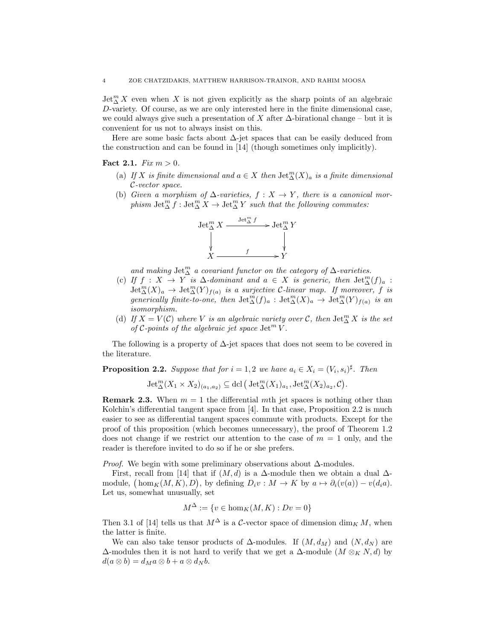$\mathrm{Jet}_\Delta^m X$  even when X is not given explicitly as the sharp points of an algebraic D-variety. Of course, as we are only interested here in the finite dimensional case, we could always give such a presentation of X after  $\Delta$ -birational change – but it is convenient for us not to always insist on this.

Here are some basic facts about  $\Delta$ -jet spaces that can be easily deduced from the construction and can be found in [14] (though sometimes only implicitly).

**Fact 2.1.** *Fix m >* 0.

- (a) If X is finite dimensional and  $a \in X$  then  $\mathrm{Jet}^m_\Delta(X)_a$  is a finite dimensional C-vector space.
- (b) Given a morphism of  $\Delta$ -varieties,  $f : X \to Y$ , there is a canonical morphism  $\mathrm{Jet}_\Delta^m f : \mathrm{Jet}_\Delta^m X \to \mathrm{Jet}_\Delta^m Y$  such that the following commutes:



and making  $\mathrm{Jet}^m_\Delta$  a covariant functor on the category of  $\Delta$ -varieties.

- (c) If  $f : X \to Y$  is  $\Delta$ -dominant and  $a \in X$  is generic, then  $\mathrm{Jet}^m_\Delta(f)_a$ :  $\mathrm{Jet}_{\Delta}^m(X)_a \to \mathrm{Jet}_{\Delta}^m(Y)_{f(a)}$  is a surjective C-linear map. If moreover, f is generically finite-to-one, then  $\mathrm{Jet}^m_\Delta(f)_a$  :  $\mathrm{Jet}^m_\Delta(X)_a \to \mathrm{Jet}^m_\Delta(Y)_{f(a)}$  is an isomorphism.
- (d) If  $X = V(\mathcal{C})$  where V is an algebraic variety over  $\mathcal{C}$ , then  $\mathrm{Jet}_{\Delta}^{m} X$  is the set of C-points of the algebraic jet space  $\mathrm{Jet}^m V$ .

The following is a property of  $\Delta$ -jet spaces that does not seem to be covered in the literature.

**Proposition 2.2.** Suppose that for  $i = 1, 2$  we have  $a_i \in X_i = (V_i, s_i)^{\sharp}$ . Then

$$
\operatorname{Jet}^m_{\Delta}(X_1 \times X_2)_{(a_1,a_2)} \subseteq \operatorname{dcl} (\operatorname{Jet}^m_{\Delta}(X_1)_{a_1}, \operatorname{Jet}^m_{\Delta}(X_2)_{a_2}, \mathcal{C}).
$$

**Remark 2.3.** When  $m = 1$  the differential mth jet spaces is nothing other than Kolchin's differential tangent space from [4]. In that case, Proposition 2.2 is much easier to see as differential tangent spaces commute with products. Except for the proof of this proposition (which becomes unnecessary), the proof of Theorem 1.2 does not change if we restrict our attention to the case of  $m = 1$  only, and the reader is therefore invited to do so if he or she prefers.

*Proof.* We begin with some preliminary observations about  $\Delta$ -modules.

First, recall from [14] that if  $(M, d)$  is a  $\Delta$ -module then we obtain a dual  $\Delta$ module,  $(\text{hom}_K(M, K), D)$ , by defining  $D_i v : M \to K$  by  $a \mapsto \partial_i(v(a)) - v(d_i a)$ . Let us, somewhat unusually, set

$$
M^{\Delta} := \{ v \in \text{hom}_K(M, K) : Dv = 0 \}
$$

Then 3.1 of [14] tells us that  $M^{\Delta}$  is a C-vector space of dimension  $\dim_{K} M$ , when the latter is finite.

We can also take tensor products of  $\Delta$ -modules. If  $(M, d_M)$  and  $(N, d_N)$  are  $\Delta$ -modules then it is not hard to verify that we get a  $\Delta$ -module  $(M \otimes_K N, d)$  by  $d(a \otimes b) = d_M a \otimes b + a \otimes d_N b.$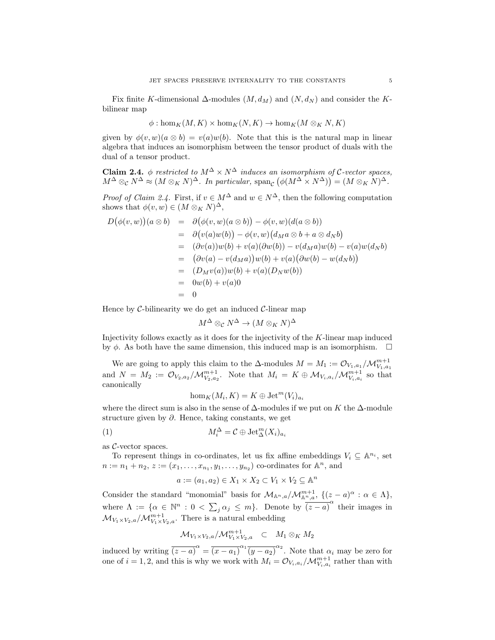Fix finite K-dimensional  $\Delta$ -modules  $(M, d_M)$  and  $(N, d_N)$  and consider the Kbilinear map

$$
\phi: \hom_K(M, K) \times \hom_K(N, K) \to \hom_K(M \otimes_K N, K)
$$

given by  $\phi(v, w)(a \otimes b) = v(a)w(b)$ . Note that this is the natural map in linear algebra that induces an isomorphism between the tensor product of duals with the dual of a tensor product.

**Claim 2.4.** φ restricted to  $M^{\Delta} \times N^{\Delta}$  induces an isomorphism of C-vector spaces,  $M^{\Delta} \otimes_{\mathcal{C}} N^{\Delta} \approx (M \otimes_K N)^{\Delta}$ . In particular,  $\text{span}_{\mathcal{C}} (\phi(M^{\Delta} \times N^{\Delta})) = (M \otimes_K N)^{\Delta}$ .

*Proof of Claim 2.4.* First, if  $v \in M^{\Delta}$  and  $w \in N^{\Delta}$ , then the following computation shows that  $\phi(v, w) \in (M \otimes_K N)^{\Delta}$ ,

$$
D(\phi(v, w))(a \otimes b) = \partial(\phi(v, w)(a \otimes b)) - \phi(v, w)(d(a \otimes b))
$$
  
\n
$$
= \partial(v(a)w(b)) - \phi(v, w)(d_M a \otimes b + a \otimes d_N b)
$$
  
\n
$$
= (\partial v(a))w(b) + v(a)(\partial w(b)) - v(d_M a)w(b) - v(a)w(d_N b)
$$
  
\n
$$
= (\partial v(a) - v(d_M a))w(b) + v(a)(\partial w(b) - w(d_N b))
$$
  
\n
$$
= (D_M v(a))w(b) + v(a)(D_N w(b))
$$
  
\n
$$
= 0w(b) + v(a)0
$$
  
\n
$$
= 0
$$

Hence by  $\mathcal C$ -bilinearity we do get an induced  $\mathcal C$ -linear map

$$
M^\Delta\otimes_\mathcal{C} N^\Delta\to (M\otimes_K N)^\Delta
$$

Injectivity follows exactly as it does for the injectivity of the K-linear map induced by  $\phi$ . As both have the same dimension, this induced map is an isomorphism.  $\Box$ 

We are going to apply this claim to the  $\Delta$ -modules  $M = M_1 := \mathcal{O}_{V_1, a_1}/\mathcal{M}_{V_1, a_1}^{m+1}$ and  $N = M_2 := \mathcal{O}_{V_2,a_2}/\mathcal{M}_{V_2,a_2}^{m+1}$ . Note that  $M_i = K \oplus \mathcal{M}_{V_i,a_i}/\mathcal{M}_{V_i,a_i}^{m+1}$  so that canonically

$$
\hom_K(M_i, K) = K \oplus \text{Jet}^m(V_i)_{a_i}
$$

where the direct sum is also in the sense of  $\Delta$ -modules if we put on K the  $\Delta$ -module structure given by  $\partial$ . Hence, taking constants, we get

(1) 
$$
M_i^{\Delta} = \mathcal{C} \oplus \text{Jet}_{\Delta}^m(X_i)_{a_i}
$$

as C-vector spaces.

To represent things in co-ordinates, let us fix affine embeddings  $V_i \subseteq \mathbb{A}^{n_i}$ , set  $n := n_1 + n_2, z := (x_1, \ldots, x_{n_1}, y_1, \ldots, y_{n_2})$  co-ordinates for  $\mathbb{A}^n$ , and

$$
a := (a_1, a_2) \in X_1 \times X_2 \subset V_1 \times V_2 \subseteq \mathbb{A}^n
$$

Consider the standard "monomial" basis for  $\mathcal{M}_{\mathbb{A}^n,a}/\mathcal{M}_{\mathbb{A}^n,a}^{m+1}$ ,  $\{(z-a)^{\alpha}: \alpha \in \Lambda\}$ , where  $\Lambda := \{ \alpha \in \mathbb{N}^n : 0 < \sum_j \alpha_j \leq m \}$ . Denote by  $\overline{(z-a)}^{\alpha}$  their images in  $\mathcal{M}_{V_1 \times V_2, a}/\mathcal{M}_{V_1 \times V_2, a}^{m+1}$ . There is a natural embedding

$$
\mathcal{M}_{V_1 \times V_2, a}/\mathcal{M}_{V_1 \times V_2, a}^{m+1} \subset M_1 \otimes_K M_2
$$

induced by writing  $\overline{(z-a)}^{\alpha} = \overline{(x-a_1)}^{\alpha_1} \overline{(y-a_2)}^{\alpha_2}$ . Note that  $\alpha_i$  may be zero for one of  $i = 1, 2$ , and this is why we work with  $M_i = \mathcal{O}_{V_i, a_i}/\mathcal{M}_{V_i, a_i}^{m+1}$  rather than with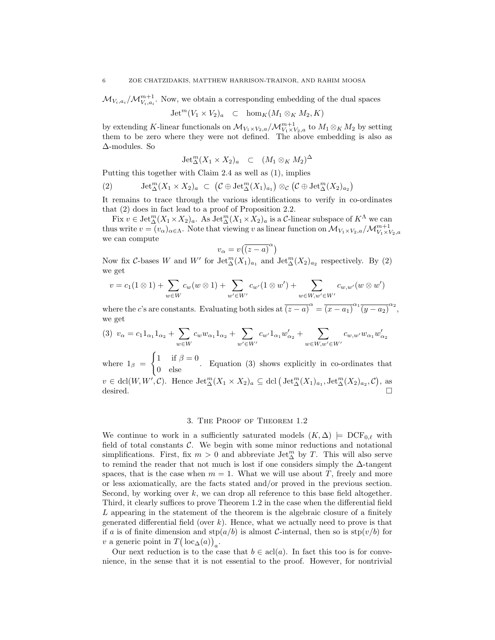$\mathcal{M}_{V_i, a_i}/\mathcal{M}_{V_i, a_i}^{m+1}$ . Now, we obtain a corresponding embedding of the dual spaces

 $\mathrm{Jet}^m(V_1 \times V_2)_a \subset \mathrm{hom}_K(M_1 \otimes_K M_2, K)$ 

by extending K-linear functionals on  $\mathcal{M}_{V_1 \times V_2, a}/\mathcal{M}_{V_1 \times V_2, a}^{m+1}$  to  $M_1 \otimes_K M_2$  by setting them to be zero where they were not defined. The above embedding is also as ∆-modules. So

$$
Jet_{\Delta}^{m}(X_1 \times X_2)_{a} \quad \subset \quad (M_1 \otimes_K M_2)^{\Delta}
$$

Putting this together with Claim 2.4 as well as (1), implies

(2) 
$$
\operatorname{Jet}^m_{\Delta}(X_1 \times X_2)_a \subset (\mathcal{C} \oplus \operatorname{Jet}^m_{\Delta}(X_1)_{a_1}) \otimes_{\mathcal{C}} (\mathcal{C} \oplus \operatorname{Jet}^m_{\Delta}(X_2)_{a_2})
$$

It remains to trace through the various identifications to verify in co-ordinates that (2) does in fact lead to a proof of Proposition 2.2.

Fix  $v \in \text{Jet}_{\Delta}^m(X_1 \times X_2)_a$ . As  $\text{Jet}_{\Delta}^m(X_1 \times X_2)_a$  is a C-linear subspace of  $K^{\Lambda}$  we can thus write  $v = (v_\alpha)_{\alpha \in \Lambda}$ . Note that viewing v as linear function on  $\mathcal{M}_{V_1 \times V_2, a}/\mathcal{M}_{V_1 \times V_2, a}^{m+1}$ we can compute

$$
v_{\alpha} = v(\overline{(z-a)}^{\alpha})
$$

Now fix C-bases W and W' for  $\mathrm{Jet}_{\Delta}^m(X_1)_{a_1}$  and  $\mathrm{Jet}_{\Delta}^m(X_2)_{a_2}$  respectively. By (2) we get

$$
v = c_1(1 \otimes 1) + \sum_{w \in W} c_w(w \otimes 1) + \sum_{w' \in W'} c_{w'}(1 \otimes w') + \sum_{w \in W, w' \in W'} c_{w,w'}(w \otimes w')
$$

where the c's are constants. Evaluating both sides at  $\overline{(z-a)}^{\alpha} = \overline{(x-a_1)}^{\alpha_1} \overline{(y-a_2)}^{\alpha_2}$ , we get

$$
(3) \ v_{\alpha} = c_1 1_{\alpha_1} 1_{\alpha_2} + \sum_{w \in W} c_w w_{\alpha_1} 1_{\alpha_2} + \sum_{w' \in W'} c_{w'} 1_{\alpha_1} w'_{\alpha_2} + \sum_{w \in W, w' \in W'} c_{w, w'} w_{\alpha_1} w'_{\alpha_2}
$$

where  $1_{\beta}$  =  $\int 1$  if  $\beta = 0$  $\begin{bmatrix} 1 & a \ b & c \end{bmatrix}$  Equation (3) shows explicitly in co-ordinates that  $v \in \text{dcl}(W, W', \mathcal{C})$ . Hence  $\text{Jet}_{\Delta}^m(X_1 \times X_2)_a \subseteq \text{dcl}(\text{Jet}_{\Delta}^m(X_1)_{a_1}, \text{Jet}_{\Delta}^m(X_2)_{a_2}, \mathcal{C})$ , as desired.

## 3. The Proof of Theorem 1.2

We continue to work in a sufficiently saturated models  $(K, \Delta) \models \text{DCF}_{0,\ell}$  with field of total constants  $C$ . We begin with some minor reductions and notational simplifications. First, fix  $m > 0$  and abbreviate Jet<sup>m</sup><sub> $\Delta$ </sub> by T. This will also serve to remind the reader that not much is lost if one considers simply the  $\Delta$ -tangent spaces, that is the case when  $m = 1$ . What we will use about T, freely and more or less axiomatically, are the facts stated and/or proved in the previous section. Second, by working over  $k$ , we can drop all reference to this base field altogether. Third, it clearly suffices to prove Theorem 1.2 in the case when the differential field L appearing in the statement of the theorem is the algebraic closure of a finitely generated differential field (over  $k$ ). Hence, what we actually need to prove is that if a is of finite dimension and  $\text{stp}(a/b)$  is almost C-internal, then so is  $\text{stp}(v/b)$  for v a generic point in  $T(\operatorname{loc}_{\Delta}(a))_a$ .

Our next reduction is to the case that  $b \in \text{acl}(a)$ . In fact this too is for convenience, in the sense that it is not essential to the proof. However, for nontrivial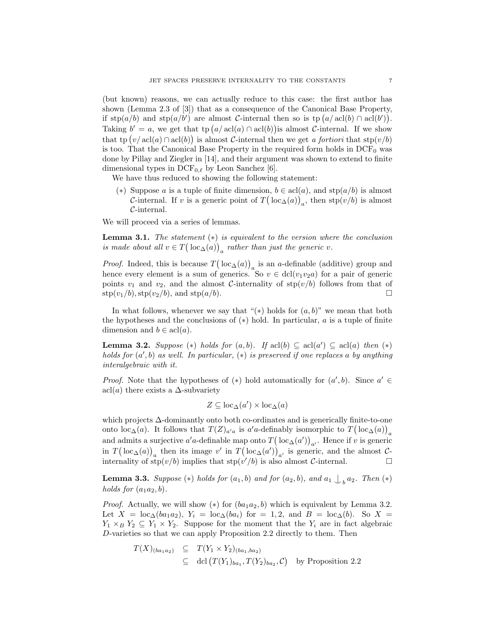(but known) reasons, we can actually reduce to this case: the first author has shown (Lemma 2.3 of [3]) that as a consequence of the Canonical Base Property, if  $\text{stp}(a/b)$  and  $\text{stp}(a/b')$  are almost C-internal then so is  $\text{tp}(a/\text{acl}(b) \cap \text{acl}(b'))$ . Taking  $b' = a$ , we get that tp  $(a/\text{acl}(a) \cap \text{acl}(b))$  is almost C-internal. If we show that tp  $(v/\operatorname{acl}(a) \cap \operatorname{acl}(b))$  is almost C-internal then we get a fortiori that stp $(v/b)$ is too. That the Canonical Base Property in the required form holds in  $DCF_0$  was done by Pillay and Ziegler in [14], and their argument was shown to extend to finite dimensional types in  $DCF_{0,\ell}$  by Leon Sanchez [6].

We have thus reduced to showing the following statement:

(\*) Suppose a is a tuple of finite dimension,  $b \in \text{acl}(a)$ , and  $\text{stp}(a/b)$  is almost *C*-internal. If v is a generic point of  $T(\text{loc}_{\Delta}(a))_a$ , then stp $(v/b)$  is almost C-internal.

We will proceed via a series of lemmas.

**Lemma 3.1.** The statement  $(*)$  is equivalent to the version where the conclusion is made about all  $v \in T(\text{loc}_{\Delta}(a))_a$  rather than just the generic v.

*Proof.* Indeed, this is because  $T(\text{loc}_{\Delta}(a))_a$  is an a-definable (additive) group and hence every element is a sum of generics. So  $v \in \text{dcl}(v_1v_2a)$  for a pair of generic points  $v_1$  and  $v_2$ , and the almost C-internality of stp( $v/b$ ) follows from that of  $\text{stp}(v_1/b), \text{stp}(v_2/b), \text{ and } \text{stp}(a/b).$ 

In what follows, whenever we say that " $(*)$  holds for  $(a, b)$ " we mean that both the hypotheses and the conclusions of  $(*)$  hold. In particular,  $a$  is a tuple of finite dimension and  $b \in \text{acl}(a)$ .

**Lemma 3.2.** Suppose (\*) holds for  $(a, b)$ . If  $\text{acl}(b) \subseteq \text{acl}(a') \subseteq \text{acl}(a)$  then (\*) holds for  $(a', b)$  as well. In particular,  $(*)$  is preserved if one replaces a by anything interalgebraic with it.

*Proof.* Note that the hypotheses of (\*) hold automatically for  $(a', b)$ . Since  $a' \in$ acl(a) there exists a  $\Delta$ -subvariety

$$
Z \subseteq \text{loc}_{\Delta}(a') \times \text{loc}_{\Delta}(a)
$$

which projects ∆-dominantly onto both co-ordinates and is generically finite-to-one onto loc<sub>∆</sub>(a). It follows that  $T(Z)_{a'a}$  is a'a-definably isomorphic to  $T(\text{loc}_{\Delta}(a))_a$ and admits a surjective a'a-definable map onto  $T(\operatorname{loc}_{\Delta}(a'))_{a'}$ . Hence if v is generic in  $T(\operatorname{loc}_{\Delta}(a))_a$  then its image v' in  $T(\operatorname{loc}_{\Delta}(a'))_{a'}$  is generic, and the almost Cinternality of  $\text{stp}(v/b)$  implies that  $\text{stp}(v'/b)$  is also almost C-internal.

**Lemma 3.3.** Suppose  $(*)$  holds for  $(a_1, b)$  and for  $(a_2, b)$ , and  $a_1 \nightharpoonup_b a_2$ . Then  $(*)$ holds for  $(a_1a_2, b)$ .

*Proof.* Actually, we will show  $(*)$  for  $(ba_1a_2, b)$  which is equivalent by Lemma 3.2. Let  $X = \text{loc}_{\Delta}(ba_1a_2)$ ,  $Y_i = \text{loc}_{\Delta}(ba_i)$  for  $= 1, 2$ , and  $B = \text{loc}_{\Delta}(b)$ . So  $X =$  $Y_1 \times_B Y_2 \subseteq Y_1 \times Y_2$ . Suppose for the moment that the  $Y_i$  are in fact algebraic D-varieties so that we can apply Proposition 2.2 directly to them. Then

$$
T(X)_{(ba_1a_2)} \subseteq T(Y_1 \times Y_2)_{(ba_1,ba_2)}
$$
  
\n
$$
\subseteq \text{dcl}(T(Y_1)_{ba_1}, T(Y_2)_{ba_2}, \mathcal{C}) \text{ by Proposition 2.2}
$$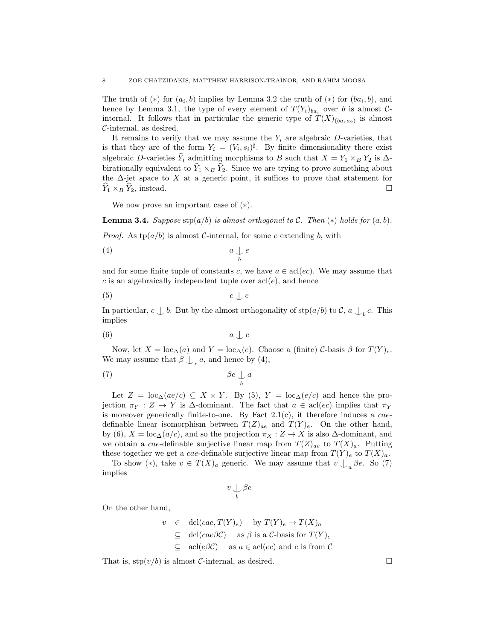The truth of  $(*)$  for  $(a_i, b)$  implies by Lemma 3.2 the truth of  $(*)$  for  $(ba_i, b)$ , and hence by Lemma 3.1, the type of every element of  $T(Y_i)_{ba_i}$  over b is almost Cinternal. It follows that in particular the generic type of  $T(X)_{(ba_1a_2)}$  is almost C-internal, as desired.

It remains to verify that we may assume the  $Y_i$  are algebraic D-varieties, that is that they are of the form  $Y_i = (V_i, s_i)^{\sharp}$ . By finite dimensionality there exist algebraic D-varieties  $\hat{Y}_i$  admitting morphisms to B such that  $X = Y_1 \times_B Y_2$  is  $\Delta$ birationally equivalent to  $\hat{Y}_1 \times_B \hat{Y}_2$ . Since we are trying to prove something about the  $\Delta$ -jet space to X at a generic point, it suffices to prove that statement for  $Y_1 \times_B Y_2$ , instead.

We now prove an important case of  $(*)$ .

**Lemma 3.4.** Suppose  $\text{stp}(a/b)$  is almost orthogonal to C. Then  $(*)$  holds for  $(a, b)$ .

*Proof.* As  $tp(a/b)$  is almost C-internal, for some e extending b, with

$$
(4) \t a \underset{b}{\downarrow} e
$$

and for some finite tuple of constants c, we have  $a \in \text{acl}(ec)$ . We may assume that c is an algebraically independent tuple over  $\operatorname{acl}(e)$ , and hence

$$
(5) \t c \t c \t e
$$

In particular,  $c \perp b$ . But by the almost orthogonality of  $\text{stp}(a/b)$  to  $\mathcal{C}$ ,  $a \perp_b c$ . This implies

$$
(6) \t a \t a \t c
$$

Now, let  $X = \text{loc}_{\Delta}(a)$  and  $Y = \text{loc}_{\Delta}(e)$ . Choose a (finite) C-basis  $\beta$  for  $T(Y)_{e}$ . We may assume that  $\beta \bigcup_{e} a$ , and hence by (4),

$$
\beta e \underset{b}{\downarrow} a
$$

Let  $Z = \text{loc}_{\Delta}(ae/c) \subseteq X \times Y$ . By (5),  $Y = \text{loc}_{\Delta}(e/c)$  and hence the projection  $\pi_Y : Z \to Y$  is  $\Delta$ -dominant. The fact that  $a \in \text{acl}(ec)$  implies that  $\pi_Y$ is moreover generically finite-to-one. By Fact  $2.1(c)$ , it therefore induces a *cae*definable linear isomorphism between  $T(Z)_{ae}$  and  $T(Y)_{e}$ . On the other hand, by (6),  $X = \text{loc}_{\Delta}(a/c)$ , and so the projection  $\pi_X : Z \to X$  is also  $\Delta$ -dominant, and we obtain a cae-definable surjective linear map from  $T(Z)_{ae}$  to  $T(X)<sub>a</sub>$ . Putting these together we get a cae-definable surjective linear map from  $T(Y)_e$  to  $T(X)_a$ .

To show  $(*)$ , take  $v \in T(X)_a$  generic. We may assume that  $v \bigcup_a \beta e$ . So (7) implies

$$
v\mathrel{\mathop{\bigcup}\limits_b}\beta e
$$

On the other hand,

$$
v \in \text{dcl}(cae, T(Y)_e) \quad \text{by } T(Y)_e \to T(X)_a
$$
  
\n
$$
\subseteq \text{dcl}(cae\beta \mathcal{C}) \quad \text{as } \beta \text{ is a } \mathcal{C}\text{-basis for } T(Y)_e
$$
  
\n
$$
\subseteq \text{acl}(e\beta \mathcal{C}) \quad \text{as } a \in \text{acl}(ec) \text{ and } c \text{ is from } \mathcal{C}
$$

That is,  $\text{stp}(v/b)$  is almost C-internal, as desired.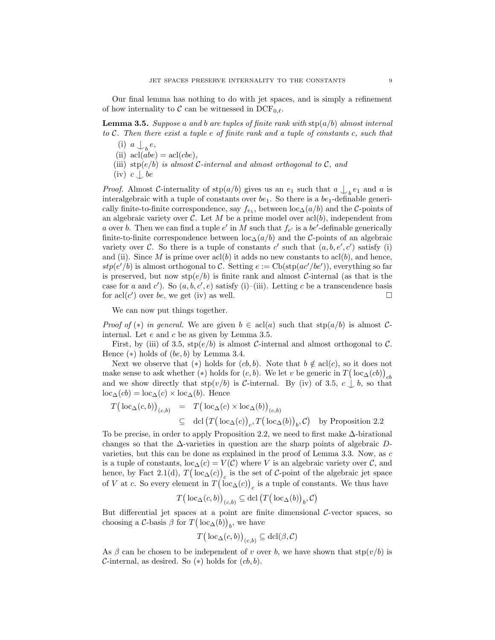Our final lemma has nothing to do with jet spaces, and is simply a refinement of how internality to C can be witnessed in  $DCF_{0,\ell}$ .

**Lemma 3.5.** Suppose a and b are tuples of finite rank with  $\text{stp}(a/b)$  almost internal to C. Then there exist a tuple e of finite rank and a tuple of constants c, such that

- (i)  $a \nightharpoonup_b e$ ,
- (ii)  $\operatorname{acl}(abe) = \operatorname{acl}(cbe),$
- (iii) stp $(e/b)$  is almost C-internal and almost orthogonal to C, and
- $(iv) c \bigcup b$ e

*Proof.* Almost C-internality of  $\text{stp}(a/b)$  gives us an  $e_1$  such that  $a \bigcup_{b} e_1$  and  $a$  is interalgebraic with a tuple of constants over  $be_1$ . So there is a  $be_1$ -definable generically finite-to-finite correspondence, say  $f_{e_1}$ , between  $\text{loc}_{\Delta}(a/b)$  and the C-points of an algebraic variety over C. Let M be a prime model over  $\alpha$  (b), independent from a over b. Then we can find a tuple  $e'$  in M such that  $f_{e'}$  is a be'-definable generically finite-to-finite correspondence between  $\text{loc}_{\Delta}(a/b)$  and the C-points of an algebraic variety over C. So there is a tuple of constants c' such that  $(a, b, e', c')$  satisfy (i) and (ii). Since M is prime over  $\text{acl}(b)$  it adds no new constants to  $\text{acl}(b)$ , and hence,  $stp(e'/b)$  is almost orthogonal to C. Setting  $e := \text{Cb}(\text{stp}(ac'/be'))$ , everything so far is preserved, but now  $\text{stp}(e/b)$  is finite rank and almost C-internal (as that is the case for a and c'). So  $(a, b, c', e)$  satisfy (i)–(iii). Letting c be a transcendence basis for acl(c') over be, we get (iv) as well.

We can now put things together.

*Proof of* (\*) in general. We are given  $b \in \text{acl}(a)$  such that  $\text{stp}(a/b)$  is almost Cinternal. Let e and c be as given by Lemma 3.5.

First, by (iii) of 3.5,  $\text{stp}(e/b)$  is almost C-internal and almost orthogonal to C. Hence  $(*)$  holds of  $(be, b)$  by Lemma 3.4.

Next we observe that (\*) holds for  $(cb, b)$ . Note that  $b \notin \text{acl}(c)$ , so it does not make sense to ask whether (\*) holds for  $(c, b)$ . We let v be generic in  $T(\mathop{{\rm loc}}\nolimits_\Delta (cb))_{cb}$ and we show directly that  $\text{stp}(v/b)$  is C-internal. By (iv) of 3.5,  $c \perp b$ , so that  $loc_{\Delta}(cb) = loc_{\Delta}(c) \times loc_{\Delta}(b)$ . Hence

$$
T\big(\operatorname{loc}_{\Delta}(c,b)\big)_{(c,b)} = T\big(\operatorname{loc}_{\Delta}(c) \times \operatorname{loc}_{\Delta}(b)\big)_{(c,b)}
$$
  
\n
$$
\subseteq \operatorname{dcl}(T\big(\operatorname{loc}_{\Delta}(c)\big)_{c}, T\big(\operatorname{loc}_{\Delta}(b)\big)_{b}, C) \text{ by Proposition 2.2}
$$

To be precise, in order to apply Proposition 2.2, we need to first make ∆-birational changes so that the  $\Delta$ -varieties in question are the sharp points of algebraic Dvarieties, but this can be done as explained in the proof of Lemma 3.3. Now, as c is a tuple of constants,  $\text{loc}_{\Delta}(c) = V(\mathcal{C})$  where V is an algebraic variety over C, and hence, by Fact 2.1(d),  $T(\text{loc}_{\Delta}(c))_c$  is the set of C-point of the algebraic jet space of V at c. So every element in  $T(\operatorname{loc}_{\Delta}(c))_c$  is a tuple of constants. We thus have

$$
T\big(\operatorname{loc}_{\Delta}(c,b)\big)_{(c,b)} \subseteq \operatorname{dcl}\big(T\big(\operatorname{loc}_{\Delta}(b)\big)_{b}, \mathcal{C}\big)
$$

But differential jet spaces at a point are finite dimensional  $C$ -vector spaces, so choosing a  $C$ -basis  $\beta$  for  $T(\operatorname{loc}_{\Delta}(b))_b$ , we have

$$
T\big(\operatorname{loc}_{\Delta}(c,b)\big)_{(c,b)} \subseteq \operatorname{dcl}(\beta,\mathcal{C})
$$

As  $\beta$  can be chosen to be independent of v over b, we have shown that  $\text{stp}(v/b)$  is  $\mathcal{C}$ -internal, as desired. So  $(*)$  holds for  $(cb, b)$ .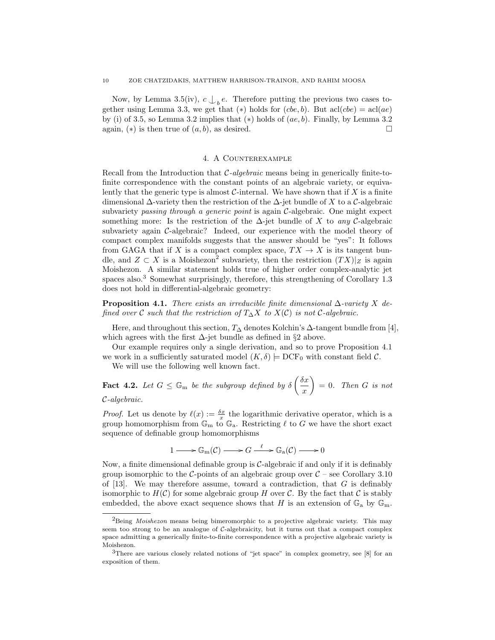Now, by Lemma 3.5(iv),  $c \bigcup_{b} e$ . Therefore putting the previous two cases together using Lemma 3.3, we get that (\*) holds for  $(che, b)$ . But  $\text{acl}(che) = \text{acl}(ae)$ by (i) of 3.5, so Lemma 3.2 implies that  $(*)$  holds of  $(ae, b)$ . Finally, by Lemma 3.2 again,  $(*)$  is then true of  $(a, b)$ , as desired.

## 4. A Counterexample

Recall from the Introduction that  $C$ -algebraic means being in generically finite-tofinite correspondence with the constant points of an algebraic variety, or equivalently that the generic type is almost  $\mathcal C$ -internal. We have shown that if X is a finite dimensional  $\Delta$ -variety then the restriction of the  $\Delta$ -jet bundle of X to a C-algebraic subvariety passing through a generic point is again C-algebraic. One might expect something more: Is the restriction of the  $\Delta$ -jet bundle of X to any C-algebraic subvariety again  $C$ -algebraic? Indeed, our experience with the model theory of compact complex manifolds suggests that the answer should be "yes": It follows from GAGA that if X is a compact complex space,  $TX \to X$  is its tangent bundle, and  $Z \subset X$  is a Moishezon<sup>2</sup> subvariety, then the restriction  $(TX)|_Z$  is again Moishezon. A similar statement holds true of higher order complex-analytic jet spaces also.<sup>3</sup> Somewhat surprisingly, therefore, this strengthening of Corollary 1.3 does not hold in differential-algebraic geometry:

**Proposition 4.1.** There exists an irreducible finite dimensional  $\Delta$ -variety X defined over C such that the restriction of  $T_\Delta X$  to  $X(\mathcal{C})$  is not C-algebraic.

Here, and throughout this section,  $T_{\Delta}$  denotes Kolchin's  $\Delta$ -tangent bundle from [4], which agrees with the first  $\Delta$ -jet bundle as defined in §2 above.

Our example requires only a single derivation, and so to prove Proposition 4.1 we work in a sufficiently saturated model  $(K, \delta) \models DCF_0$  with constant field C.

We will use the following well known fact.

**Fact 4.2.** Let  $G \leq \mathbb{G}_m$  be the subgroup defined by  $\delta\left(\frac{\delta x}{\delta x}\right)$ x  $= 0.$  Then G is not C-algebraic.

*Proof.* Let us denote by  $\ell(x) := \frac{\delta x}{x}$  the logarithmic derivative operator, which is a group homomorphism from  $\mathbb{G}_{m}$  to  $\mathbb{G}_{a}$ . Restricting  $\ell$  to G we have the short exact sequence of definable group homomorphisms

$$
1 \longrightarrow \mathbb{G}_{\mathbf{m}}(\mathcal{C}) \longrightarrow G \xrightarrow{\ell} \mathbb{G}_{\mathbf{a}}(\mathcal{C}) \longrightarrow 0
$$

Now, a finite dimensional definable group is  $C$ -algebraic if and only if it is definably group isomorphic to the C-points of an algebraic group over  $C$  – see Corollary 3.10 of  $[13]$ . We may therefore assume, toward a contradiction, that G is definably isomorphic to  $H(\mathcal{C})$  for some algebraic group H over  $\mathcal{C}$ . By the fact that  $\mathcal{C}$  is stably embedded, the above exact sequence shows that H is an extension of  $\mathbb{G}_a$  by  $\mathbb{G}_m$ .

<sup>&</sup>lt;sup>2</sup>Being *Moishezon* means being bimeromorphic to a projective algebraic variety. This may seem too strong to be an analogue of  $C$ -algebraicity, but it turns out that a compact complex space admitting a generically finite-to-finite correspondence with a projective algebraic variety is Moishezon.

<sup>&</sup>lt;sup>3</sup>There are various closely related notions of "jet space" in complex geometry, see [8] for an exposition of them.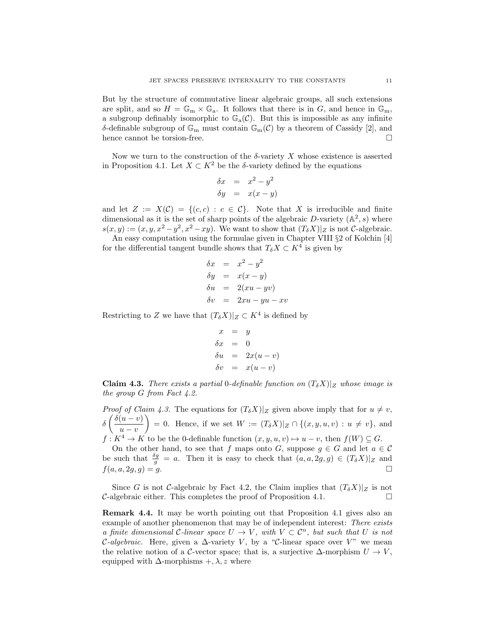But by the structure of commutative linear algebraic groups, all such extensions are split, and so  $H = \mathbb{G}_{m} \times \mathbb{G}_{a}$ . It follows that there is in G, and hence in  $\mathbb{G}_{m}$ , a subgroup definably isomorphic to  $\mathbb{G}_{a}(\mathcal{C})$ . But this is impossible as any infinite δ-definable subgroup of  $\mathbb{G}_{m}$  must contain  $\mathbb{G}_{m}(\mathcal{C})$  by a theorem of Cassidy [2], and hence cannot be torsion-free.  $\hfill \square$ 

Now we turn to the construction of the  $\delta$ -variety X whose existence is asserted in Proposition 4.1. Let  $X \subset K^2$  be the δ-variety defined by the equations

$$
\delta x = x^2 - y^2
$$
  

$$
\delta y = x(x - y)
$$

and let  $Z := X(\mathcal{C}) = \{(c, c) : c \in \mathcal{C}\}\$ . Note that X is irreducible and finite dimensional as it is the set of sharp points of the algebraic D-variety  $(\mathbb{A}^2, s)$  where  $s(x, y) := (x, y, x^2 - y^2, x^2 - xy)$ . We want to show that  $(T_{\delta}X)|_Z$  is not C-algebraic.

An easy computation using the formulae given in Chapter VIII §2 of Kolchin [4] for the differential tangent bundle shows that  $T_{\delta}X \subset K^4$  is given by

$$
\delta x = x^2 - y^2
$$
  
\n
$$
\delta y = x(x - y)
$$
  
\n
$$
\delta u = 2(xu - yv)
$$
  
\n
$$
\delta v = 2xu - yu - xv
$$

Restricting to Z we have that  $(T_{\delta}X)|_Z \subset K^4$  is defined by

$$
x = y
$$
  
\n
$$
\delta x = 0
$$
  
\n
$$
\delta u = 2x(u - v)
$$
  
\n
$$
\delta v = x(u - v)
$$

**Claim 4.3.** There exists a partial 0-definable function on  $(T_{\delta}X)|_Z$  whose image is the group G from Fact 4.2.

*Proof of Claim 4.3.* The equations for  $(T_{\delta}X)|_Z$  given above imply that for  $u \neq v$ ,  $\delta\left(\frac{\delta(u-v)}{u}\right)$  $u - v$  $= 0.$  Hence, if we set  $W := (T_{\delta}X)|_Z \cap \{(x, y, u, v) : u \neq v\},\$ and  $f: K^4 \to K$  to be the 0-definable function  $(x, y, u, v) \mapsto u - v$ , then  $f(W) \subseteq G$ .

On the other hand, to see that f maps onto G, suppose  $g \in G$  and let  $a \in \mathcal{C}$ be such that  $\frac{\delta g}{g} = a$ . Then it is easy to check that  $(a, a, 2g, g) \in (T_{\delta}X)|_Z$  and  $f(a, a, 2g, g) = g.$ 

Since G is not C-algebraic by Fact 4.2, the Claim implies that  $(T_{\delta}X)|_Z$  is not  $\mathcal{C}$ -algebraic either. This completes the proof of Proposition 4.1.

Remark 4.4. It may be worth pointing out that Proposition 4.1 gives also an example of another phenomenon that may be of independent interest: There exists a finite dimensional C-linear space  $U \to V$ , with  $V \subset \mathcal{C}^n$ , but such that U is not *C-algebraic.* Here, given a  $\Delta$ -variety V, by a "C-linear space over V" we mean the relative notion of a C-vector space; that is, a surjective  $\Delta$ -morphism  $U \to V$ , equipped with  $\Delta$ -morphisms +,  $\lambda$ , z where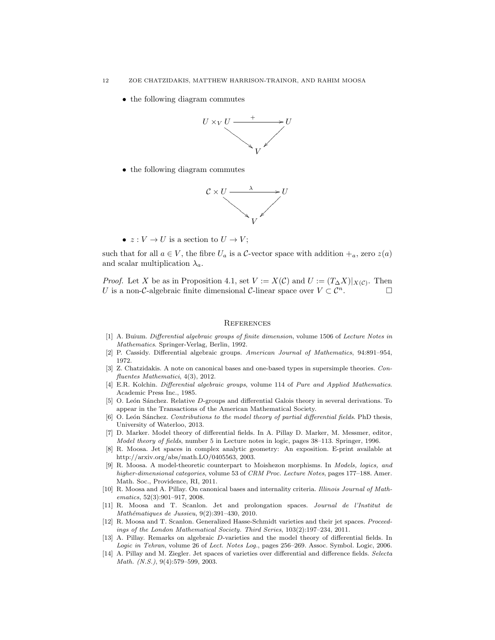• the following diagram commutes



• the following diagram commutes



•  $z: V \to U$  is a section to  $U \to V$ ;

such that for all  $a \in V$ , the fibre  $U_a$  is a C-vector space with addition  $+_a$ , zero  $z(a)$ and scalar multiplication  $\lambda_a$ .

*Proof.* Let X be as in Proposition 4.1, set  $V := X(\mathcal{C})$  and  $U := (T_{\Delta}X)|_{X(\mathcal{C})}$ . Then U is a non-C-algebraic finite dimensional C-linear space over  $V \subset \mathcal{C}^n$ .

## **REFERENCES**

- [1] A. Buium. Differential algebraic groups of finite dimension, volume 1506 of Lecture Notes in Mathematics. Springer-Verlag, Berlin, 1992.
- [2] P. Cassidy. Differential algebraic groups. American Journal of Mathematics, 94:891–954, 1972.
- [3] Z. Chatzidakis. A note on canonical bases and one-based types in supersimple theories. Confluentes Mathematici, 4(3), 2012.
- [4] E.R. Kolchin. Differential algebraic groups, volume 114 of Pure and Applied Mathematics. Academic Press Inc., 1985.
- [5] O. León Sánchez. Relative D-groups and differential Galois theory in several derivations. To appear in the Transactions of the American Mathematical Society.
- [6] O. León Sánchez. Contributions to the model theory of partial differential fields. PhD thesis, University of Waterloo, 2013.
- [7] D. Marker. Model theory of differential fields. In A. Pillay D. Marker, M. Messmer, editor, Model theory of fields, number 5 in Lecture notes in logic, pages 38–113. Springer, 1996.
- [8] R. Moosa. Jet spaces in complex analytic geometry: An exposition. E-print available at http://arxiv.org/abs/math.LO/0405563, 2003.
- [9] R. Moosa. A model-theoretic counterpart to Moishezon morphisms. In Models, logics, and higher-dimensional categories, volume 53 of CRM Proc. Lecture Notes, pages 177–188. Amer. Math. Soc., Providence, RI, 2011.
- [10] R. Moosa and A. Pillay. On canonical bases and internality criteria. Illinois Journal of Mathematics, 52(3):901–917, 2008.
- [11] R. Moosa and T. Scanlon. Jet and prolongation spaces. Journal de l'Institut de  $Mathématiques de Jussieu, 9(2):391-430, 2010.$
- [12] R. Moosa and T. Scanlon. Generalized Hasse-Schmidt varieties and their jet spaces. Proceedings of the London Mathematical Society. Third Series, 103(2):197–234, 2011.
- [13] A. Pillay. Remarks on algebraic D-varieties and the model theory of differential fields. In Logic in Tehran, volume 26 of Lect. Notes Log., pages 256–269. Assoc. Symbol. Logic, 2006.
- [14] A. Pillay and M. Ziegler. Jet spaces of varieties over differential and difference fields. Selecta Math. (N.S.), 9(4):579–599, 2003.